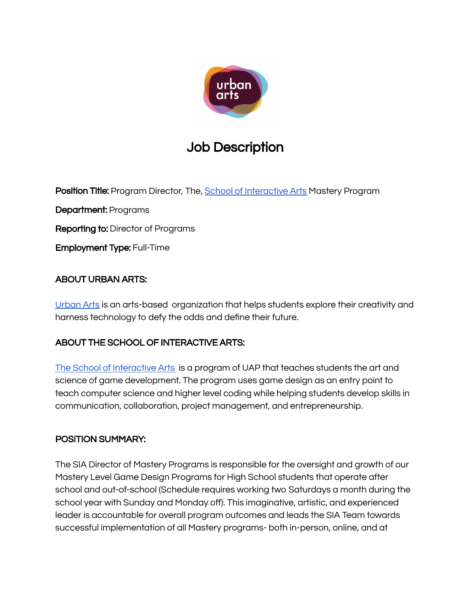

# Job Description

Position Title: Program Director, The, School of [Interactive](https://www.schoolofinteractivearts.org/) Arts Mastery Program

Department: Programs

Reporting to: Director of Programs

Employment Type: Full-Time

### ABOUT URBAN ARTS:

[Urban](https://www.urbanarts.org/) Arts is an arts-based organization that helps students explore their creativity and harness technology to defy the odds and define their future.

## ABOUT THE SCHOOL OF INTERACTIVE ARTS:

The School of [Interactive](https://www.schoolofinteractivearts.org/) Arts is a program of UAP that teaches students the art and science of game development. The program uses game design as an entry point to teach computer science and higher level coding while helping students develop skills in communication, collaboration, project management, and entrepreneurship.

#### POSITION SUMMARY:

The SIA Director of Mastery Programs is responsible for the oversight and growth of our Mastery Level Game Design Programs for High School students that operate after school and out-of-school (Schedule requires working two Saturdays a month during the school year with Sunday and Monday off). This imaginative, artistic, and experienced leader is accountable for overall program outcomes and leads the SIA Team towards successful implementation of all Mastery programs- both in-person, online, and at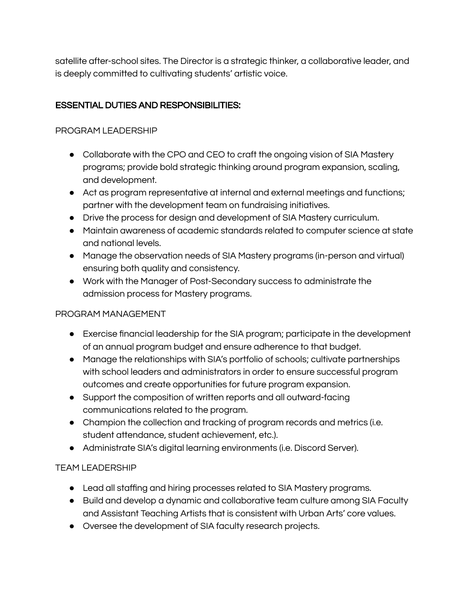satellite after-school sites. The Director is a strategic thinker, a collaborative leader, and is deeply committed to cultivating students' artistic voice.

### ESSENTIAL DUTIES AND RESPONSIBILITIES:

#### PROGRAM LEADERSHIP

- Collaborate with the CPO and CEO to craft the ongoing vision of SIA Mastery programs; provide bold strategic thinking around program expansion, scaling, and development.
- Act as program representative at internal and external meetings and functions; partner with the development team on fundraising initiatives.
- Drive the process for design and development of SIA Mastery curriculum.
- Maintain awareness of academic standards related to computer science at state and national levels.
- Manage the observation needs of SIA Mastery programs (in-person and virtual) ensuring both quality and consistency.
- Work with the Manager of Post-Secondary success to administrate the admission process for Mastery programs.

## PROGRAM MANAGEMENT

- Exercise financial leadership for the SIA program; participate in the development of an annual program budget and ensure adherence to that budget.
- Manage the relationships with SIA's portfolio of schools; cultivate partnerships with school leaders and administrators in order to ensure successful program outcomes and create opportunities for future program expansion.
- Support the composition of written reports and all outward-facing communications related to the program.
- Champion the collection and tracking of program records and metrics (i.e. student attendance, student achievement, etc.).
- Administrate SIA's digital learning environments (i.e. Discord Server).

## TEAM LEADERSHIP

- Lead all staffing and hiring processes related to SIA Mastery programs.
- Build and develop a dynamic and collaborative team culture among SIA Faculty and Assistant Teaching Artists that is consistent with Urban Arts' core values.
- Oversee the development of SIA faculty research projects.